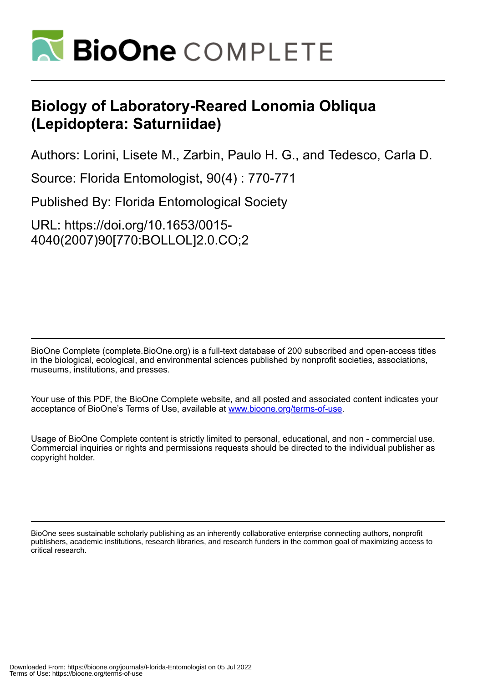

## **Biology of Laboratory-Reared Lonomia Obliqua (Lepidoptera: Saturniidae)**

Authors: Lorini, Lisete M., Zarbin, Paulo H. G., and Tedesco, Carla D.

Source: Florida Entomologist, 90(4) : 770-771

Published By: Florida Entomological Society

URL: https://doi.org/10.1653/0015- 4040(2007)90[770:BOLLOL]2.0.CO;2

BioOne Complete (complete.BioOne.org) is a full-text database of 200 subscribed and open-access titles in the biological, ecological, and environmental sciences published by nonprofit societies, associations, museums, institutions, and presses.

Your use of this PDF, the BioOne Complete website, and all posted and associated content indicates your acceptance of BioOne's Terms of Use, available at www.bioone.org/terms-of-use.

Usage of BioOne Complete content is strictly limited to personal, educational, and non - commercial use. Commercial inquiries or rights and permissions requests should be directed to the individual publisher as copyright holder.

BioOne sees sustainable scholarly publishing as an inherently collaborative enterprise connecting authors, nonprofit publishers, academic institutions, research libraries, and research funders in the common goal of maximizing access to critical research.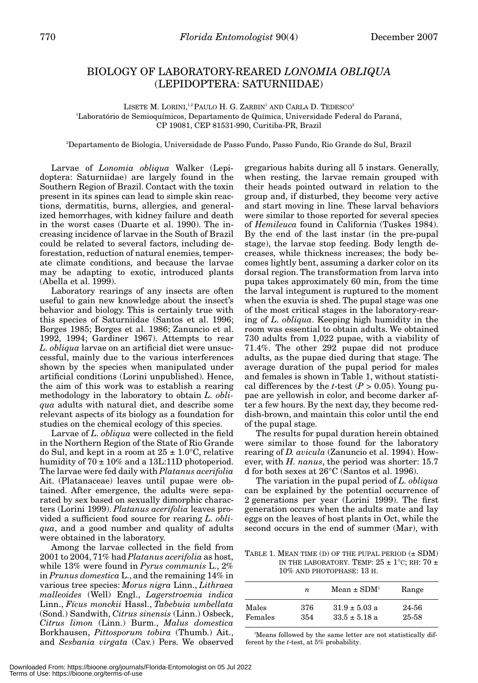## BIOLOGY OF LABORATORY-REARED *LONOMIA OBLIQUA* (LEPIDOPTERA: SATURNIIDAE)

LISETE M. LORINI,<sup>1,2</sup> PAULO H. G. ZARBIN<sup>1</sup> AND CARLA D. TEDESCO<sup>2</sup> 1 Laboratório de Semioquímicos, Departamento de Química, Universidade Federal do Paraná, CP 19081, CEP 81531-990, Curitiba-PR, Brazil

2 Departamento de Biologia, Universidade de Passo Fundo, Passo Fundo, Rio Grande do Sul, Brazil

Larvae of *Lonomia obliqua* Walker (Lepidoptera: Saturniidae) are largely found in the Southern Region of Brazil. Contact with the toxin present in its spines can lead to simple skin reactions, dermatitis, burns, allergies, and generalized hemorrhages, with kidney failure and death in the worst cases (Duarte et al. 1990). The increasing incidence of larvae in the South of Brazil could be related to several factors, including deforestation, reduction of natural enemies, temperate climate conditions, and because the larvae may be adapting to exotic, introduced plants (Abella et al. 1999).

Laboratory rearings of any insects are often useful to gain new knowledge about the insect's behavior and biology. This is certainly true with this species of Saturniidae (Santos et al. 1996; Borges 1985; Borges et al. 1986; Zanuncio et al. 1992, 1994; Gardiner 1967). Attempts to rear *L. obliqua* larvae on an artificial diet were unsuccessful, mainly due to the various interferences shown by the species when manipulated under artificial conditions (Lorini unpublished). Hence, the aim of this work was to establish a rearing methodology in the laboratory to obtain *L. obliqua* adults with natural diet, and describe some relevant aspects of its biology as a foundation for studies on the chemical ecology of this species.

Larvae of *L. obliqua* were collected in the field in the Northern Region of the State of Rio Grande do Sul, and kept in a room at  $25 \pm 1.0^{\circ}$ C, relative humidity of  $70 \pm 10\%$  and a 13L:11D photoperiod. The larvae were fed daily with *Platanus acerifolia* Ait. (Platanaceae) leaves until pupae were obtained. After emergence, the adults were separated by sex based on sexually dimorphic characters (Lorini 1999). *Platanus acerifolia* leaves provided a sufficient food source for rearing *L. obliqua*, and a good number and quality of adults were obtained in the laboratory.

Among the larvae collected in the field from 2001 to 2004, 71% had *Platanus acerifolia* as host, while 13% were found in *Pyrus communis* L., 2% in *Prunus domestica* L., and the remaining 14% in various tree species: *Morus nigra* Linn., *Lithraea malleoides* (Well) Engl., *Lagerstroemia indica* Linn., *Fícus monckii* Hassl., *Tabebuia umbellata* (Sond.) Sandwith, *Citrus sinensis* (Linn.) Osbeck, *Citrus limon* (Linn.) Burm., *Malus domestica* Borkhausen, *Pittosporum tobira* (Thumb.) Ait., and *Sesbania virgata* (Cav.) Pers. We observed

gregarious habits during all 5 instars. Generally, when resting, the larvae remain grouped with their heads pointed outward in relation to the group and, if disturbed, they become very active and start moving in line. These larval behaviors were similar to those reported for several species of *Hemileuca* found in California (Tuskes 1984). By the end of the last instar (in the pre-pupal stage), the larvae stop feeding. Body length decreases, while thickness increases; the body becomes lightly bent, assuming a darker color on its dorsal region. The transformation from larva into pupa takes approximately 60 min, from the time the larval integument is ruptured to the moment when the exuvia is shed. The pupal stage was one of the most critical stages in the laboratory-rearing of *L. obliqua*. Keeping high humidity in the room was essential to obtain adults. We obtained 730 adults from 1,022 pupae, with a viability of 71.4%. The other 292 pupae did not produce adults, as the pupae died during that stage. The average duration of the pupal period for males and females is shown in Table 1, without statistical differences by the *t*-test ( $P > 0.05$ ). Young pupae are yellowish in color, and become darker after a few hours. By the next day, they become reddish-brown, and maintain this color until the end of the pupal stage.

The results for pupal duration herein obtained were similar to those found for the laboratory rearing of *D. avicula* (Zanuncio et al. 1994). However, with *H. nanus*, the period was shorter: 15.7 d for both sexes at 26°C (Santos et al. 1996).

The variation in the pupal period of *L. obliqua* can be explained by the potential occurrence of 2 generations per year (Lorini 1999). The first generation occurs when the adults mate and lay eggs on the leaves of host plants in Oct, while the second occurs in the end of summer (Mar), with

TABLE 1. MEAN TIME (D) OF THE PUPAL PERIOD  $(\pm$  SDM) IN THE LABORATORY. TEMP:  $25 \pm 1^{\circ}$ C; RH:  $70 \pm$ 10% AND PHOTOPHASE: 13 H.

|         | n   | $Mean \pm SDM1$   | Range |
|---------|-----|-------------------|-------|
| Males   | 376 | $31.9 \pm 5.03$ a | 24-56 |
| Females | 354 | $33.5 \pm 5.18$ a | 25-58 |

1 Means followed by the same letter are not statistically different by the *t*-test, at 5% probability.